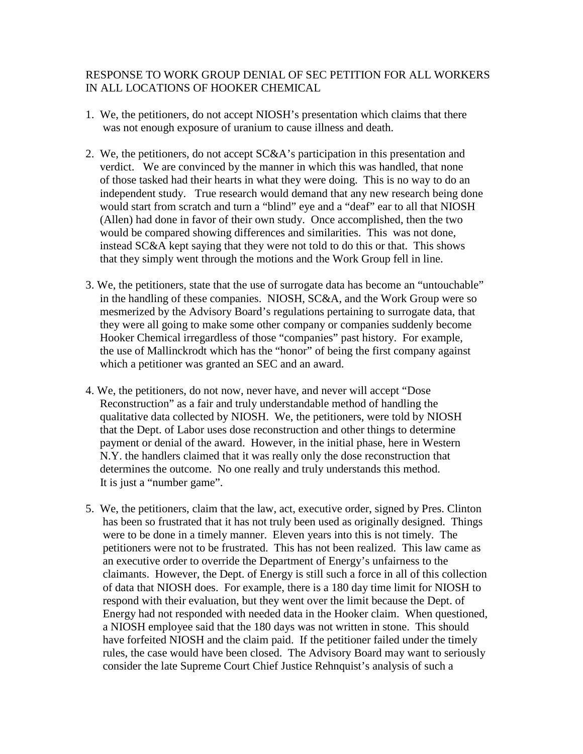## RESPONSE TO WORK GROUP DENIAL OF SEC PETITION FOR ALL WORKERS IN ALL LOCATIONS OF HOOKER CHEMICAL

- 1. We, the petitioners, do not accept NIOSH's presentation which claims that there was not enough exposure of uranium to cause illness and death.
- 2. We, the petitioners, do not accept SC&A's participation in this presentation and verdict. We are convinced by the manner in which this was handled, that none of those tasked had their hearts in what they were doing. This is no way to do an independent study. True research would demand that any new research being done would start from scratch and turn a "blind" eye and a "deaf" ear to all that NIOSH (Allen) had done in favor of their own study. Once accomplished, then the two would be compared showing differences and similarities. This was not done, instead SC&A kept saying that they were not told to do this or that. This shows that they simply went through the motions and the Work Group fell in line.
- 3. We, the petitioners, state that the use of surrogate data has become an "untouchable" in the handling of these companies. NIOSH, SC&A, and the Work Group were so mesmerized by the Advisory Board's regulations pertaining to surrogate data, that they were all going to make some other company or companies suddenly become Hooker Chemical irregardless of those "companies" past history. For example, the use of Mallinckrodt which has the "honor" of being the first company against which a petitioner was granted an SEC and an award.
- 4. We, the petitioners, do not now, never have, and never will accept "Dose Reconstruction" as a fair and truly understandable method of handling the qualitative data collected by NIOSH. We, the petitioners, were told by NIOSH that the Dept. of Labor uses dose reconstruction and other things to determine payment or denial of the award. However, in the initial phase, here in Western N.Y. the handlers claimed that it was really only the dose reconstruction that determines the outcome. No one really and truly understands this method. It is just a "number game".
- 5. We, the petitioners, claim that the law, act, executive order, signed by Pres. Clinton has been so frustrated that it has not truly been used as originally designed. Things were to be done in a timely manner. Eleven years into this is not timely. The petitioners were not to be frustrated. This has not been realized. This law came as an executive order to override the Department of Energy's unfairness to the claimants. However, the Dept. of Energy is still such a force in all of this collection of data that NIOSH does. For example, there is a 180 day time limit for NIOSH to respond with their evaluation, but they went over the limit because the Dept. of Energy had not responded with needed data in the Hooker claim. When questioned, a NIOSH employee said that the 180 days was not written in stone. This should have forfeited NIOSH and the claim paid. If the petitioner failed under the timely rules, the case would have been closed. The Advisory Board may want to seriously consider the late Supreme Court Chief Justice Rehnquist's analysis of such a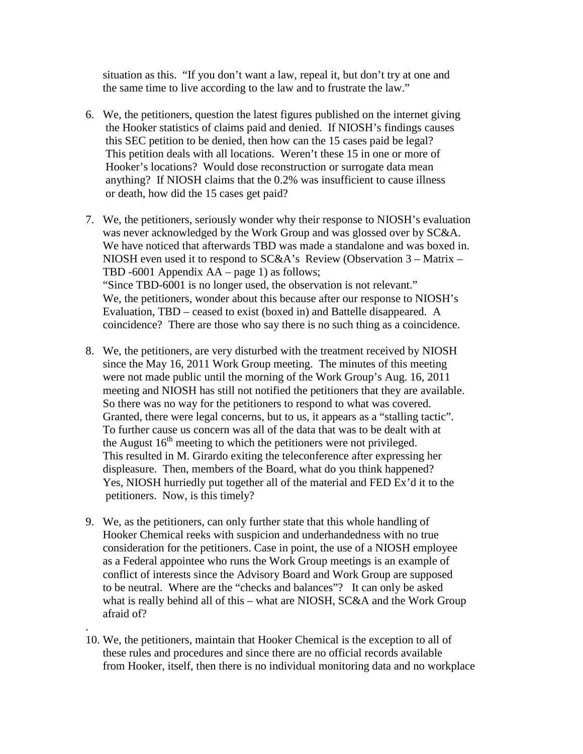situation as this. "If you don't want a law, repeal it, but don't try at one and the same time to live according to the law and to frustrate the law."

- 6. We, the petitioners, question the latest figures published on the internet giving the Hooker statistics of claims paid and denied. If NIOSH's findings causes this SEC petition to be denied, then how can the 15 cases paid be legal? This petition deals with all locations. Weren't these 15 in one or more of Hooker's locations? Would dose reconstruction or surrogate data mean anything? If NIOSH claims that the 0.2% was insufficient to cause illness or death, how did the 15 cases get paid?
- 7. We, the petitioners, seriously wonder why their response to NIOSH's evaluation was never acknowledged by the Work Group and was glossed over by SC&A. We have noticed that afterwards TBD was made a standalone and was boxed in. NIOSH even used it to respond to  $SC&A$ 's Review (Observation 3 – Matrix – TBD -6001 Appendix AA – page 1) as follows; "Since TBD-6001 is no longer used, the observation is not relevant." We, the petitioners, wonder about this because after our response to NIOSH's Evaluation, TBD – ceased to exist (boxed in) and Battelle disappeared. A coincidence? There are those who say there is no such thing as a coincidence.
- 8. We, the petitioners, are very disturbed with the treatment received by NIOSH since the May 16, 2011 Work Group meeting. The minutes of this meeting were not made public until the morning of the Work Group's Aug. 16, 2011 meeting and NIOSH has still not notified the petitioners that they are available. So there was no way for the petitioners to respond to what was covered. Granted, there were legal concerns, but to us, it appears as a "stalling tactic". To further cause us concern was all of the data that was to be dealt with at the August  $16<sup>th</sup>$  meeting to which the petitioners were not privileged. This resulted in M. Girardo exiting the teleconference after expressing her displeasure. Then, members of the Board, what do you think happened? Yes, NIOSH hurriedly put together all of the material and FED Ex'd it to the petitioners. Now, is this timely?
- 9. We, as the petitioners, can only further state that this whole handling of Hooker Chemical reeks with suspicion and underhandedness with no true consideration for the petitioners. Case in point, the use of a NIOSH employee as a Federal appointee who runs the Work Group meetings is an example of conflict of interests since the Advisory Board and Work Group are supposed to be neutral. Where are the "checks and balances"? It can only be asked what is really behind all of this – what are NIOSH, SC&A and the Work Group afraid of?
- 10. We, the petitioners, maintain that Hooker Chemical is the exception to all of these rules and procedures and since there are no official records available from Hooker, itself, then there is no individual monitoring data and no workplace

.